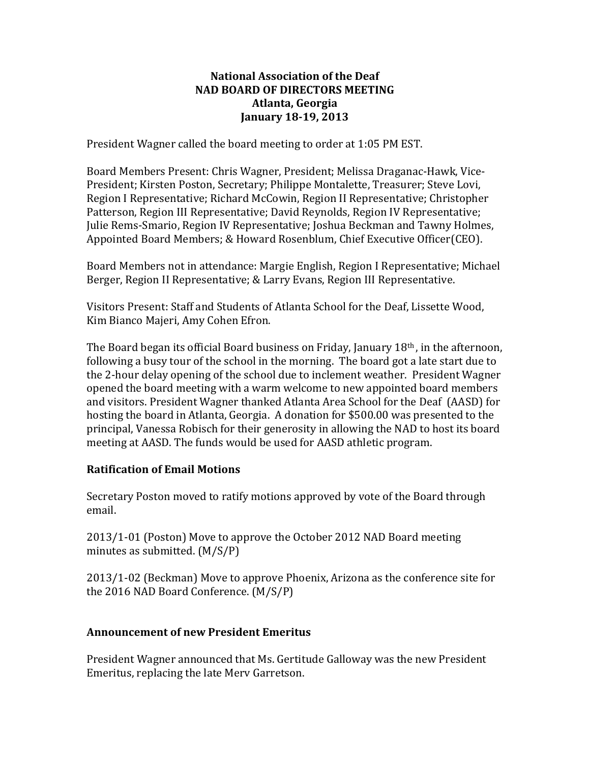### **National Association of the Deaf NAD BOARD OF DIRECTORS MEETING Atlanta, Georgia January 18-19, 2013**

President Wagner called the board meeting to order at 1:05 PM EST.

Board Members Present: Chris Wagner, President; Melissa Draganac-Hawk, Vice-President; Kirsten Poston, Secretary; Philippe Montalette, Treasurer; Steve Lovi, Region I Representative; Richard McCowin, Region II Representative; Christopher Patterson, Region III Representative; David Reynolds, Region IV Representative; Julie Rems-Smario, Region IV Representative; Joshua Beckman and Tawny Holmes, Appointed Board Members; & Howard Rosenblum, Chief Executive Officer(CEO).

Board Members not in attendance: Margie English, Region I Representative; Michael Berger, Region II Representative; & Larry Evans, Region III Representative.

Visitors Present: Staff and Students of Atlanta School for the Deaf, Lissette Wood, Kim Bianco Majeri, Amy Cohen Efron.

The Board began its official Board business on Friday, January  $18<sup>th</sup>$ , in the afternoon, following a busy tour of the school in the morning. The board got a late start due to the 2-hour delay opening of the school due to inclement weather. President Wagner opened the board meeting with a warm welcome to new appointed board members and visitors. President Wagner thanked Atlanta Area School for the Deaf (AASD) for hosting the board in Atlanta, Georgia. A donation for \$500.00 was presented to the principal, Vanessa Robisch for their generosity in allowing the NAD to host its board meeting at AASD. The funds would be used for AASD athletic program.

### **Ratification of Email Motions**

Secretary Poston moved to ratify motions approved by vote of the Board through email. 

2013/1-01 (Poston) Move to approve the October 2012 NAD Board meeting minutes as submitted.  $(M/S/P)$ 

2013/1-02 (Beckman) Move to approve Phoenix, Arizona as the conference site for the 2016 NAD Board Conference.  $(M/S/P)$ 

### **Announcement of new President Emeritus**

President Wagner announced that Ms. Gertitude Galloway was the new President Emeritus, replacing the late Merv Garretson.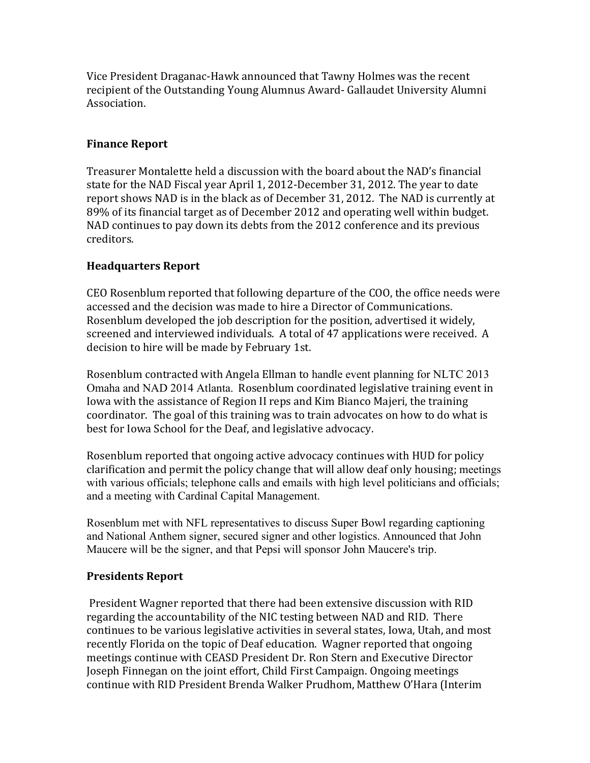Vice President Draganac-Hawk announced that Tawny Holmes was the recent recipient of the Outstanding Young Alumnus Award- Gallaudet University Alumni Association.

### **Finance Report**

Treasurer Montalette held a discussion with the board about the NAD's financial state for the NAD Fiscal year April 1, 2012-December 31, 2012. The year to date report shows NAD is in the black as of December 31, 2012. The NAD is currently at 89% of its financial target as of December 2012 and operating well within budget. NAD continues to pay down its debts from the 2012 conference and its previous creditors.

## **Headquarters Report**

CEO Rosenblum reported that following departure of the COO, the office needs were accessed and the decision was made to hire a Director of Communications. Rosenblum developed the job description for the position, advertised it widely, screened and interviewed individuals. A total of 47 applications were received. A decision to hire will be made by February 1st.

Rosenblum contracted with Angela Ellman to handle event planning for NLTC 2013 Omaha and NAD 2014 Atlanta. Rosenblum coordinated legislative training event in Iowa with the assistance of Region II reps and Kim Bianco Majeri, the training coordinator. The goal of this training was to train advocates on how to do what is best for Iowa School for the Deaf, and legislative advocacy.

Rosenblum reported that ongoing active advocacy continues with HUD for policy clarification and permit the policy change that will allow deaf only housing; meetings with various officials; telephone calls and emails with high level politicians and officials; and a meeting with Cardinal Capital Management.

Rosenblum met with NFL representatives to discuss Super Bowl regarding captioning and National Anthem signer, secured signer and other logistics. Announced that John Maucere will be the signer, and that Pepsi will sponsor John Maucere's trip.

### **Presidents Report**

President Wagner reported that there had been extensive discussion with RID regarding the accountability of the NIC testing between NAD and RID. There continues to be various legislative activities in several states, Iowa, Utah, and most recently Florida on the topic of Deaf education. Wagner reported that ongoing meetings continue with CEASD President Dr. Ron Stern and Executive Director Joseph Finnegan on the joint effort, Child First Campaign. Ongoing meetings continue with RID President Brenda Walker Prudhom, Matthew O'Hara (Interim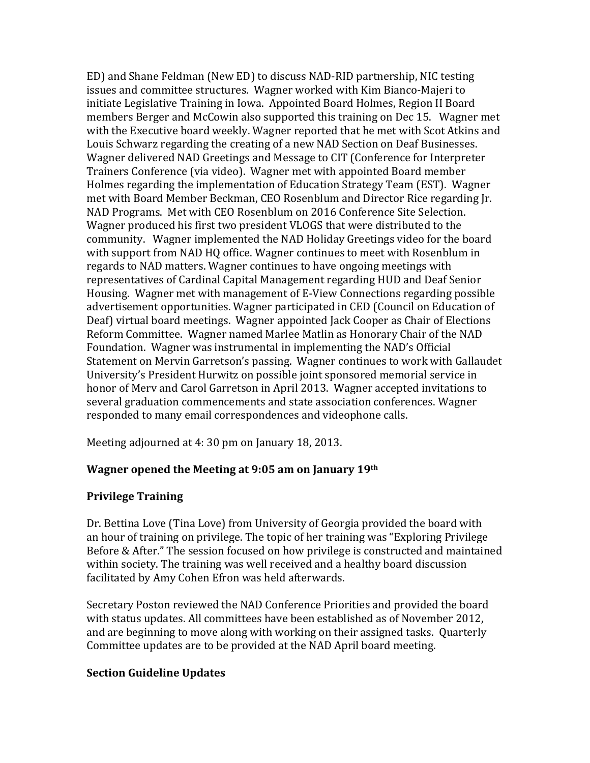ED) and Shane Feldman (New ED) to discuss NAD-RID partnership, NIC testing issues and committee structures. Wagner worked with Kim Bianco-Majeri to initiate Legislative Training in Iowa. Appointed Board Holmes, Region II Board members Berger and McCowin also supported this training on Dec 15. Wagner met with the Executive board weekly. Wagner reported that he met with Scot Atkins and Louis Schwarz regarding the creating of a new NAD Section on Deaf Businesses. Wagner delivered NAD Greetings and Message to CIT (Conference for Interpreter Trainers Conference (via video). Wagner met with appointed Board member Holmes regarding the implementation of Education Strategy Team (EST). Wagner met with Board Member Beckman, CEO Rosenblum and Director Rice regarding Jr. NAD Programs. Met with CEO Rosenblum on 2016 Conference Site Selection. Wagner produced his first two president VLOGS that were distributed to the community. Wagner implemented the NAD Holiday Greetings video for the board with support from NAD HQ office. Wagner continues to meet with Rosenblum in regards to NAD matters. Wagner continues to have ongoing meetings with representatives of Cardinal Capital Management regarding HUD and Deaf Senior Housing. Wagner met with management of E-View Connections regarding possible advertisement opportunities. Wagner participated in CED (Council on Education of Deaf) virtual board meetings. Wagner appointed Jack Cooper as Chair of Elections Reform Committee. Wagner named Marlee Matlin as Honorary Chair of the NAD Foundation. Wagner was instrumental in implementing the NAD's Official Statement on Mervin Garretson's passing. Wagner continues to work with Gallaudet University's President Hurwitz on possible joint sponsored memorial service in honor of Mery and Carol Garretson in April 2013. Wagner accepted invitations to several graduation commencements and state association conferences. Wagner responded to many email correspondences and videophone calls.

Meeting adjourned at 4: 30 pm on January 18, 2013.

# **Wagner opened the Meeting at 9:05 am on January 19th**

# **Privilege Training**

Dr. Bettina Love (Tina Love) from University of Georgia provided the board with an hour of training on privilege. The topic of her training was "Exploring Privilege Before & After." The session focused on how privilege is constructed and maintained within society. The training was well received and a healthy board discussion facilitated by Amy Cohen Efron was held afterwards.

Secretary Poston reviewed the NAD Conference Priorities and provided the board with status updates. All committees have been established as of November 2012, and are beginning to move along with working on their assigned tasks. Quarterly Committee updates are to be provided at the NAD April board meeting.

# **Section Guideline Updates**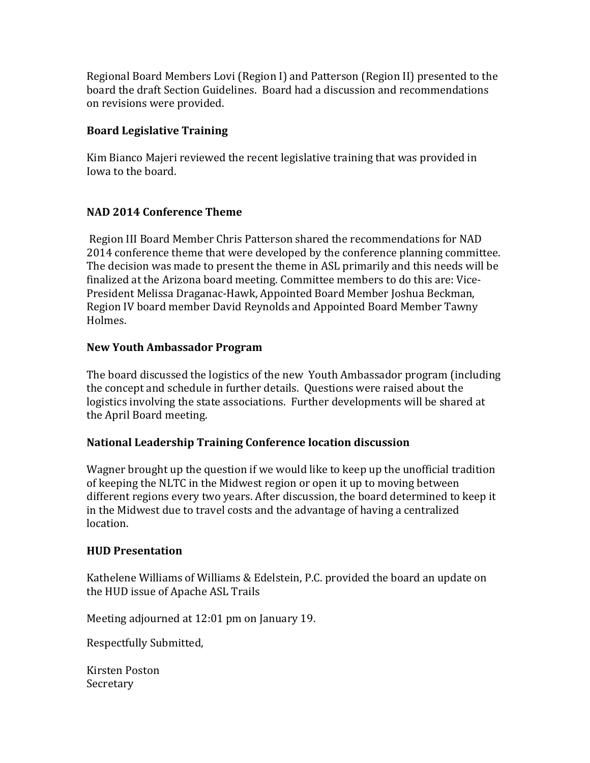Regional Board Members Lovi (Region I) and Patterson (Region II) presented to the board the draft Section Guidelines. Board had a discussion and recommendations on revisions were provided.

## **Board Legislative Training**

Kim Bianco Majeri reviewed the recent legislative training that was provided in Iowa to the board.

## **NAD 2014 Conference Theme**

Region III Board Member Chris Patterson shared the recommendations for NAD 2014 conference theme that were developed by the conference planning committee. The decision was made to present the theme in ASL primarily and this needs will be finalized at the Arizona board meeting. Committee members to do this are: Vice-President Melissa Draganac-Hawk, Appointed Board Member Joshua Beckman, Region IV board member David Reynolds and Appointed Board Member Tawny Holmes. 

### **New Youth Ambassador Program**

The board discussed the logistics of the new Youth Ambassador program (including the concept and schedule in further details. Ouestions were raised about the logistics involving the state associations. Further developments will be shared at the April Board meeting.

### **National Leadership Training Conference location discussion**

Wagner brought up the question if we would like to keep up the unofficial tradition of keeping the NLTC in the Midwest region or open it up to moving between different regions every two years. After discussion, the board determined to keep it in the Midwest due to travel costs and the advantage of having a centralized location.

### **HUD Presentation**

Kathelene Williams of Williams & Edelstein, P.C. provided the board an update on the HUD issue of Apache ASL Trails

Meeting adjourned at 12:01 pm on January 19.

Respectfully Submitted,

Kirsten Poston Secretary